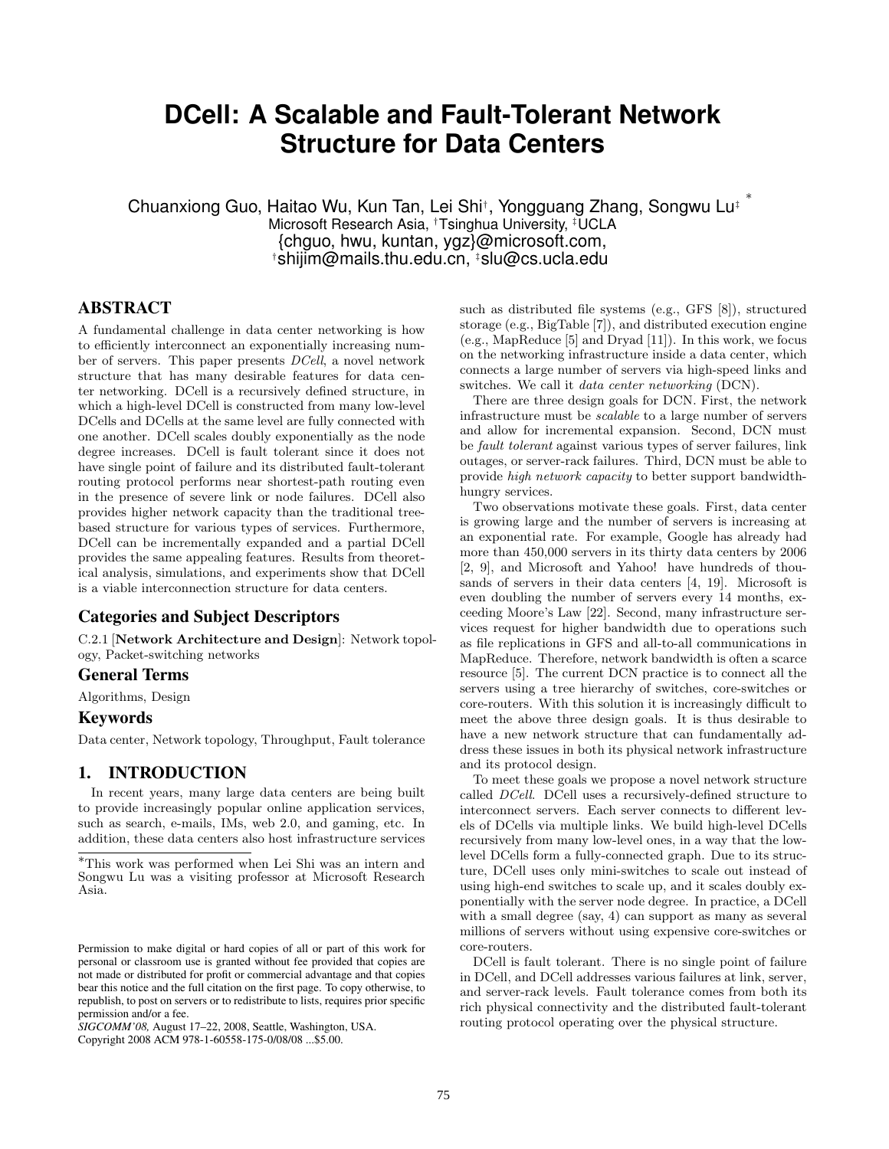# **DCell: A Scalable and Fault-Tolerant Network Structure for Data Centers**

Chuanxiong Guo, Haitao Wu, Kun Tan, Lei Shi<sup>†</sup>, Yongguang Zhang, Songwu Lu<sup>‡</sup> Microsoft Research Asia, †Tsinghua University, ‡UCLA {chguo, hwu, kuntan, ygz}@microsoft.com, †shijim@mails.thu.edu.cn, ‡slu@cs.ucla.edu

## ABSTRACT

A fundamental challenge in data center networking is how to efficiently interconnect an exponentially increasing number of servers. This paper presents DCell, a novel network structure that has many desirable features for data center networking. DCell is a recursively defined structure, in which a high-level DCell is constructed from many low-level DCells and DCells at the same level are fully connected with one another. DCell scales doubly exponentially as the node degree increases. DCell is fault tolerant since it does not have single point of failure and its distributed fault-tolerant routing protocol performs near shortest-path routing even in the presence of severe link or node failures. DCell also provides higher network capacity than the traditional treebased structure for various types of services. Furthermore, DCell can be incrementally expanded and a partial DCell provides the same appealing features. Results from theoretical analysis, simulations, and experiments show that DCell is a viable interconnection structure for data centers.

## Categories and Subject Descriptors

C.2.1 [Network Architecture and Design]: Network topology, Packet-switching networks

## General Terms

Algorithms, Design

#### Keywords

Data center, Network topology, Throughput, Fault tolerance

## 1. INTRODUCTION

In recent years, many large data centers are being built to provide increasingly popular online application services, such as search, e-mails, IMs, web 2.0, and gaming, etc. In addition, these data centers also host infrastructure services

*SIGCOMM'08,* August 17–22, 2008, Seattle, Washington, USA.

Copyright 2008 ACM 978-1-60558-175-0/08/08 ...\$5.00.

such as distributed file systems (e.g., GFS [8]), structured storage (e.g., BigTable [7]), and distributed execution engine (e.g., MapReduce [5] and Dryad [11]). In this work, we focus on the networking infrastructure inside a data center, which connects a large number of servers via high-speed links and switches. We call it data center networking (DCN).

There are three design goals for DCN. First, the network infrastructure must be scalable to a large number of servers and allow for incremental expansion. Second, DCN must be fault tolerant against various types of server failures, link outages, or server-rack failures. Third, DCN must be able to provide high network capacity to better support bandwidthhungry services.

Two observations motivate these goals. First, data center is growing large and the number of servers is increasing at an exponential rate. For example, Google has already had more than 450,000 servers in its thirty data centers by 2006 [2, 9], and Microsoft and Yahoo! have hundreds of thousands of servers in their data centers [4, 19]. Microsoft is even doubling the number of servers every 14 months, exceeding Moore's Law [22]. Second, many infrastructure services request for higher bandwidth due to operations such as file replications in GFS and all-to-all communications in MapReduce. Therefore, network bandwidth is often a scarce resource [5]. The current DCN practice is to connect all the servers using a tree hierarchy of switches, core-switches or core-routers. With this solution it is increasingly difficult to meet the above three design goals. It is thus desirable to have a new network structure that can fundamentally address these issues in both its physical network infrastructure and its protocol design.

To meet these goals we propose a novel network structure called DCell. DCell uses a recursively-defined structure to interconnect servers. Each server connects to different levels of DCells via multiple links. We build high-level DCells recursively from many low-level ones, in a way that the lowlevel DCells form a fully-connected graph. Due to its structure, DCell uses only mini-switches to scale out instead of using high-end switches to scale up, and it scales doubly exponentially with the server node degree. In practice, a DCell with a small degree (say, 4) can support as many as several millions of servers without using expensive core-switches or core-routers.

DCell is fault tolerant. There is no single point of failure in DCell, and DCell addresses various failures at link, server, and server-rack levels. Fault tolerance comes from both its rich physical connectivity and the distributed fault-tolerant routing protocol operating over the physical structure.

<sup>∗</sup>This work was performed when Lei Shi was an intern and Songwu Lu was a visiting professor at Microsoft Research Asia.

Permission to make digital or hard copies of all or part of this work for personal or classroom use is granted without fee provided that copies are not made or distributed for profit or commercial advantage and that copies bear this notice and the full citation on the first page. To copy otherwise, to republish, to post on servers or to redistribute to lists, requires prior specific permission and/or a fee.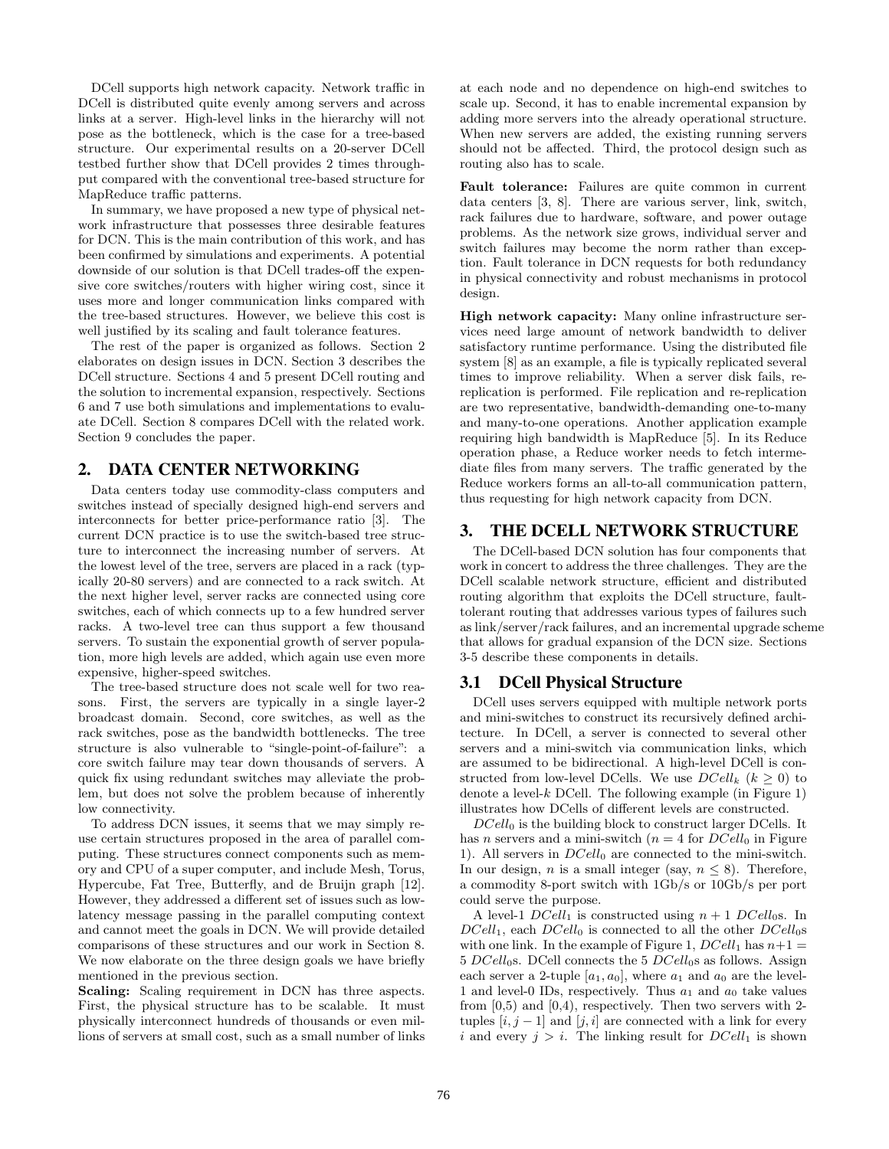DCell supports high network capacity. Network traffic in DCell is distributed quite evenly among servers and across links at a server. High-level links in the hierarchy will not pose as the bottleneck, which is the case for a tree-based structure. Our experimental results on a 20-server DCell testbed further show that DCell provides 2 times throughput compared with the conventional tree-based structure for MapReduce traffic patterns.

In summary, we have proposed a new type of physical network infrastructure that possesses three desirable features for DCN. This is the main contribution of this work, and has been confirmed by simulations and experiments. A potential downside of our solution is that DCell trades-off the expensive core switches/routers with higher wiring cost, since it uses more and longer communication links compared with the tree-based structures. However, we believe this cost is well justified by its scaling and fault tolerance features.

The rest of the paper is organized as follows. Section 2 elaborates on design issues in DCN. Section 3 describes the DCell structure. Sections 4 and 5 present DCell routing and the solution to incremental expansion, respectively. Sections 6 and 7 use both simulations and implementations to evaluate DCell. Section 8 compares DCell with the related work. Section 9 concludes the paper.

## 2. DATA CENTER NETWORKING

Data centers today use commodity-class computers and switches instead of specially designed high-end servers and interconnects for better price-performance ratio [3]. The current DCN practice is to use the switch-based tree structure to interconnect the increasing number of servers. At the lowest level of the tree, servers are placed in a rack (typically 20-80 servers) and are connected to a rack switch. At the next higher level, server racks are connected using core switches, each of which connects up to a few hundred server racks. A two-level tree can thus support a few thousand servers. To sustain the exponential growth of server population, more high levels are added, which again use even more expensive, higher-speed switches.

The tree-based structure does not scale well for two reasons. First, the servers are typically in a single layer-2 broadcast domain. Second, core switches, as well as the rack switches, pose as the bandwidth bottlenecks. The tree structure is also vulnerable to "single-point-of-failure": a core switch failure may tear down thousands of servers. A quick fix using redundant switches may alleviate the problem, but does not solve the problem because of inherently low connectivity.

To address DCN issues, it seems that we may simply reuse certain structures proposed in the area of parallel computing. These structures connect components such as memory and CPU of a super computer, and include Mesh, Torus, Hypercube, Fat Tree, Butterfly, and de Bruijn graph [12]. However, they addressed a different set of issues such as lowlatency message passing in the parallel computing context and cannot meet the goals in DCN. We will provide detailed comparisons of these structures and our work in Section 8. We now elaborate on the three design goals we have briefly mentioned in the previous section.

Scaling: Scaling requirement in DCN has three aspects. First, the physical structure has to be scalable. It must physically interconnect hundreds of thousands or even millions of servers at small cost, such as a small number of links at each node and no dependence on high-end switches to scale up. Second, it has to enable incremental expansion by adding more servers into the already operational structure. When new servers are added, the existing running servers should not be affected. Third, the protocol design such as routing also has to scale.

Fault tolerance: Failures are quite common in current data centers [3, 8]. There are various server, link, switch, rack failures due to hardware, software, and power outage problems. As the network size grows, individual server and switch failures may become the norm rather than exception. Fault tolerance in DCN requests for both redundancy in physical connectivity and robust mechanisms in protocol design.

High network capacity: Many online infrastructure services need large amount of network bandwidth to deliver satisfactory runtime performance. Using the distributed file system [8] as an example, a file is typically replicated several times to improve reliability. When a server disk fails, rereplication is performed. File replication and re-replication are two representative, bandwidth-demanding one-to-many and many-to-one operations. Another application example requiring high bandwidth is MapReduce [5]. In its Reduce operation phase, a Reduce worker needs to fetch intermediate files from many servers. The traffic generated by the Reduce workers forms an all-to-all communication pattern, thus requesting for high network capacity from DCN.

## 3. THE DCELL NETWORK STRUCTURE

The DCell-based DCN solution has four components that work in concert to address the three challenges. They are the DCell scalable network structure, efficient and distributed routing algorithm that exploits the DCell structure, faulttolerant routing that addresses various types of failures such as link/server/rack failures, and an incremental upgrade scheme that allows for gradual expansion of the DCN size. Sections 3-5 describe these components in details.

## 3.1 DCell Physical Structure

DCell uses servers equipped with multiple network ports and mini-switches to construct its recursively defined architecture. In DCell, a server is connected to several other servers and a mini-switch via communication links, which are assumed to be bidirectional. A high-level DCell is constructed from low-level DCells. We use  $DCell_k$   $(k > 0)$  to denote a level- $k$  DCell. The following example (in Figure 1) illustrates how DCells of different levels are constructed.

 $DCell_0$  is the building block to construct larger DCells. It has n servers and a mini-switch ( $n = 4$  for  $DCell_0$  in Figure 1). All servers in  $DCell_0$  are connected to the mini-switch. In our design, *n* is a small integer (say,  $n \leq 8$ ). Therefore, a commodity 8-port switch with 1Gb/s or 10Gb/s per port could serve the purpose.

A level-1  $DCell_1$  is constructed using  $n + 1$   $DCell_0$ s. In  $DCell<sub>1</sub>$ , each  $DCell<sub>0</sub>$  is connected to all the other  $DCell<sub>0</sub>$ s with one link. In the example of Figure 1,  $DCell_1$  has  $n+1 =$  $5 \text{ } DCell_0$ s. DCell connects the  $5 \text{ } DCell_0$ s as follows. Assign each server a 2-tuple  $[a_1, a_0]$ , where  $a_1$  and  $a_0$  are the level-1 and level-0 IDs, respectively. Thus  $a_1$  and  $a_0$  take values from  $[0,5)$  and  $[0,4)$ , respectively. Then two servers with 2tuples  $[i, j - 1]$  and  $[j, i]$  are connected with a link for every i and every  $j > i$ . The linking result for  $DCell_1$  is shown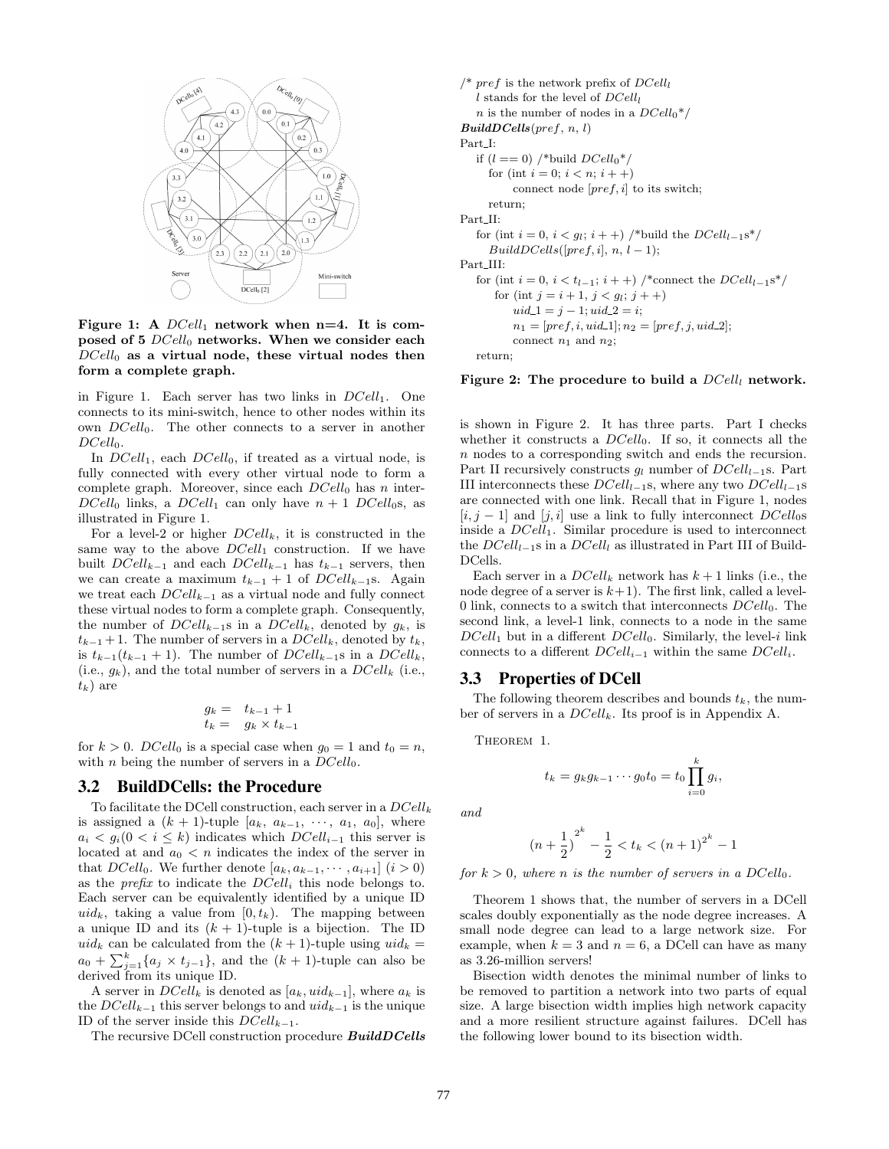

Figure 1: A  $DCell_1$  network when n=4. It is composed of 5  $DCell_0$  networks. When we consider each  $DCell_0$  as a virtual node, these virtual nodes then form a complete graph.

in Figure 1. Each server has two links in  $DCell_1$ . One connects to its mini-switch, hence to other nodes within its own  $DCell_0$ . The other connects to a server in another  $DCell_0$ .

In  $DCell_1$ , each  $DCell_0$ , if treated as a virtual node, is fully connected with every other virtual node to form a complete graph. Moreover, since each  $DCell_0$  has n inter- $DCell_0$  links, a  $DCell_1$  can only have  $n + 1$   $DCell_0$ s, as illustrated in Figure 1.

For a level-2 or higher  $DCell_k$ , it is constructed in the same way to the above  $DCell_1$  construction. If we have built  $DCell_{k-1}$  and each  $DCell_{k-1}$  has  $t_{k-1}$  servers, then we can create a maximum  $t_{k-1} + 1$  of  $DCell_{k-1}$ s. Again we treat each  $DCell_{k-1}$  as a virtual node and fully connect these virtual nodes to form a complete graph. Consequently, the number of  $DCell_{k-1}$ s in a  $DCell_k$ , denoted by  $g_k$ , is  $t_{k-1}$  + 1. The number of servers in a  $DCell_k$ , denoted by  $t_k$ , is  $t_{k-1}(t_{k-1} + 1)$ . The number of  $DCell_{k-1}$ s in a  $DCell_k$ , (i.e.,  $g_k$ ), and the total number of servers in a  $DCell_k$  (i.e.,  $t_k$ ) are

$$
g_k = t_{k-1} + 1
$$
  

$$
t_k = g_k \times t_{k-1}
$$

for  $k > 0$ . DCell<sub>0</sub> is a special case when  $q_0 = 1$  and  $t_0 = n$ , with *n* being the number of servers in a  $DCell_0$ .

## 3.2 BuildDCells: the Procedure

To facilitate the DCell construction, each server in a  $DCell_k$ is assigned a  $(k + 1)$ -tuple  $[a_k, a_{k-1}, \dots, a_1, a_0]$ , where  $a_i < g_i(0 \lt i \leq k)$  indicates which  $DCell_{i-1}$  this server is located at and  $a_0 < n$  indicates the index of the server in that  $DCell_0$ . We further denote  $[a_k, a_{k-1}, \dots, a_{i+1}]$   $(i > 0)$ as the *prefix* to indicate the  $DCell_i$  this node belongs to. Each server can be equivalently identified by a unique ID uid<sub>k</sub>, taking a value from  $[0, t_k)$ . The mapping between a unique ID and its  $(k + 1)$ -tuple is a bijection. The ID uid<sub>k</sub> can be calculated from the  $(k + 1)$ -tuple using  $uid_k =$  $a_0 + \sum_{j=1}^k \{a_j \times t_{j-1}\}\$ , and the  $(k+1)$ -tuple can also be derived from its unique ID.

A server in  $DCell_k$  is denoted as  $[a_k, uid_{k-1}]$ , where  $a_k$  is the  $DCell_{k-1}$  this server belongs to and  $uid_{k-1}$  is the unique ID of the server inside this  $DCell_{k-1}$ .

The recursive DCell construction procedure BuildDCells

/\* pref is the network prefix of  $DCell<sub>l</sub>$ l stands for the level of  $DCell<sub>l</sub>$ n is the number of nodes in a  $DCell_0^*/$  $BuildDCells(pref, n, l)$ Part I: if  $(l == 0)$  /\*build  $DCell_0*/$ for (int  $i = 0; i < n; i + +$ ) connect node  $[pref,i]$  to its switch; return; Part\_II: for (int  $i = 0$ ,  $i < g_l$ ;  $i + +$ ) /\*build the  $DCell_{l-1}$ s\*/  $BuildDCells([pref, i], n, l-1);$ Part III: for (int  $i = 0, i < t_{l-1}; i++)$  /\*connect the  $DCell_{l-1}s^*/$ for (int  $j = i + 1, j < g_l; j + +$ )  $uid\_1 = j - 1; uid\_2 = i;$  $n_1 = [pref, i,uid\_1]; n_2 = [pref, j,uid\_2];$ connect  $n_1$  and  $n_2$ ; return;

#### Figure 2: The procedure to build a  $DCell_l$  network.

is shown in Figure 2. It has three parts. Part I checks whether it constructs a  $DCell_0$ . If so, it connects all the n nodes to a corresponding switch and ends the recursion. Part II recursively constructs  $g_l$  number of  $DCell_{l-1}$ s. Part III interconnects these  $DCell_{l-1}$ s, where any two  $DCell_{l-1}$ s are connected with one link. Recall that in Figure 1, nodes  $[i, j - 1]$  and  $[j, i]$  use a link to fully interconnect  $DCell<sub>0</sub>$ inside a  $DCell<sub>1</sub>$ . Similar procedure is used to interconnect the  $DCell_{l-1}$ s in a  $DCell_l$  as illustrated in Part III of Build-DCells.

Each server in a  $DCell_k$  network has  $k+1$  links (i.e., the node degree of a server is  $k+1$ ). The first link, called a level-0 link, connects to a switch that interconnects  $DCell_0$ . The second link, a level-1 link, connects to a node in the same  $DCell_1$  but in a different  $DCell_0$ . Similarly, the level-i link connects to a different  $DCell_{i-1}$  within the same  $DCell_i$ .

#### 3.3 Properties of DCell

The following theorem describes and bounds  $t_k$ , the number of servers in a  $DCell_k$ . Its proof is in Appendix A.

THEOREM 1.

$$
t_k = g_k g_{k-1} \cdots g_0 t_0 = t_0 \prod_{i=0}^k g_i,
$$

and

$$
(n+\frac{1}{2})^{2^{k}} - \frac{1}{2} < t_k < (n+1)^{2^{k}} - 1
$$

for 
$$
k > 0
$$
, where n is the number of servers in a DCell<sub>0</sub>.

Theorem 1 shows that, the number of servers in a DCell scales doubly exponentially as the node degree increases. A small node degree can lead to a large network size. For example, when  $k = 3$  and  $n = 6$ , a DCell can have as many as 3.26-million servers!

Bisection width denotes the minimal number of links to be removed to partition a network into two parts of equal size. A large bisection width implies high network capacity and a more resilient structure against failures. DCell has the following lower bound to its bisection width.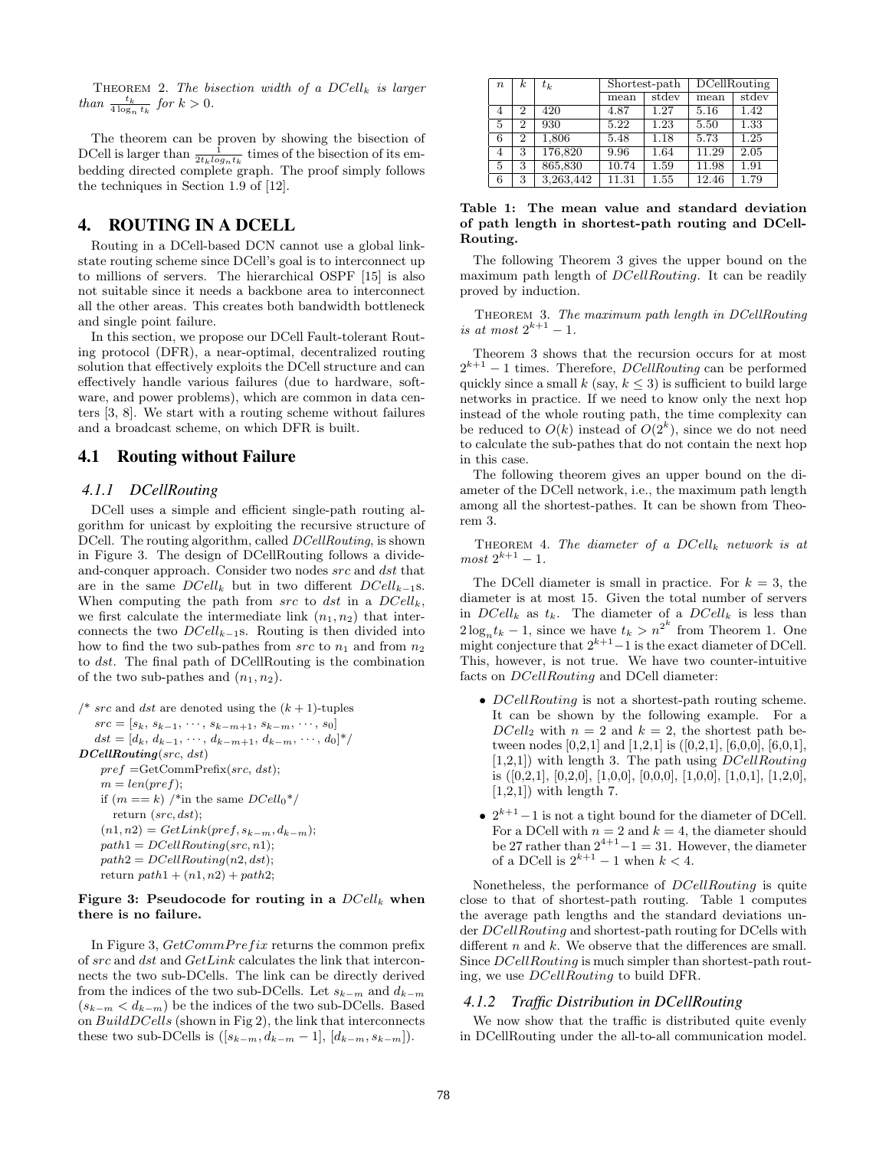THEOREM 2. The bisection width of a  $DCell_k$  is larger than  $\frac{t_k}{4 \log_n t_k}$  for  $k > 0$ .

The theorem can be proven by showing the bisection of DCell is larger than  $\frac{1}{2t_k log_n t_k}$  times of the bisection of its embedding directed complete graph. The proof simply follows the techniques in Section 1.9 of [12].

## 4. ROUTING IN A DCELL

Routing in a DCell-based DCN cannot use a global linkstate routing scheme since DCell's goal is to interconnect up to millions of servers. The hierarchical OSPF [15] is also not suitable since it needs a backbone area to interconnect all the other areas. This creates both bandwidth bottleneck and single point failure.

In this section, we propose our DCell Fault-tolerant Routing protocol (DFR), a near-optimal, decentralized routing solution that effectively exploits the DCell structure and can effectively handle various failures (due to hardware, software, and power problems), which are common in data centers [3, 8]. We start with a routing scheme without failures and a broadcast scheme, on which DFR is built.

## 4.1 Routing without Failure

#### *4.1.1 DCellRouting*

DCell uses a simple and efficient single-path routing algorithm for unicast by exploiting the recursive structure of DCell. The routing algorithm, called DCellRouting, is shown in Figure 3. The design of DCellRouting follows a divideand-conquer approach. Consider two nodes src and dst that are in the same  $DCell_k$  but in two different  $DCell_{k-1}s$ . When computing the path from src to dst in a  $DCell_k$ , we first calculate the intermediate link  $(n_1, n_2)$  that interconnects the two  $DCell_{k-1}$ s. Routing is then divided into how to find the two sub-pathes from  $src$  to  $n_1$  and from  $n_2$ to dst. The final path of DCellRouting is the combination of the two sub-pathes and  $(n_1, n_2)$ .

/\* src and dst are denoted using the 
$$
(k + 1)
$$
-tuples  $src = [s_k, s_{k-1}, \dots, s_{k-m+1}, s_{k-m}, \dots, s_0]$   $dst = [d_k, d_{k-1}, \dots, d_{k-m+1}, d_{k-m}, \dots, d_0]^*/$  **DCellRouting** (src, dst)  $pref = \text{GetCommPrefix}(src, dst);$   $m = len(pref);$  if  $(m == k) \text{ * in the same DCell}_0^*/$  return  $(src, dst);$   $(n1, n2) = GetLink(pref, s_{k-m}, d_{k-m});$   $path1 = DCellRouting(src, n1);$   $path2 = DCellRouting(n2, dst);$  return  $path1 + (n1, n2) + path2;$ 

#### Figure 3: Pseudocode for routing in a  $DCell_k$  when there is no failure.

In Figure 3,  $GetCommPrefix$  returns the common prefix of src and dst and GetLink calculates the link that interconnects the two sub-DCells. The link can be directly derived from the indices of the two sub-DCells. Let  $s_{k-m}$  and  $d_{k-m}$  $(s_{k-m} < d_{k-m})$  be the indices of the two sub-DCells. Based on BuildDCells (shown in Fig 2), the link that interconnects these two sub-DCells is  $([s_{k-m}, d_{k-m}-1], [d_{k-m}, s_{k-m}]).$ 

| $\boldsymbol{n}$ | $\boldsymbol{k}$ | $t_k$     | Shortest-path |       | DCellRouting |       |
|------------------|------------------|-----------|---------------|-------|--------------|-------|
|                  |                  |           | mean          | stdev | mean         | stdev |
| 4                | $\overline{2}$   | 420       | 4.87          | 1.27  | 5.16         | 1.42  |
| 5                | 2                | 930       | 5.22          | 1.23  | 5.50         | 1.33  |
| 6                | $^{2}$           | 1,806     | 5.48          | 1.18  | 5.73         | 1.25  |
| 4                | 3                | 176,820   | 9.96          | 1.64  | 11.29        | 2.05  |
| 5                | 3                | 865,830   | 10.74         | 1.59  | 11.98        | 1.91  |
| 6                | 3                | 3,263,442 | 11.31         | 1.55  | 12.46        | 1.79  |

Table 1: The mean value and standard deviation of path length in shortest-path routing and DCell-Routing.

The following Theorem 3 gives the upper bound on the maximum path length of *DCellRouting*. It can be readily proved by induction.

THEOREM 3. The maximum path length in DCellRouting is at most  $2^{k+1} - 1$ .

Theorem 3 shows that the recursion occurs for at most  $2^{k+1} - 1$  times. Therefore, *DCellRouting* can be performed quickly since a small k (say,  $k \leq 3$ ) is sufficient to build large networks in practice. If we need to know only the next hop instead of the whole routing path, the time complexity can be reduced to  $O(k)$  instead of  $O(2<sup>k</sup>)$ , since we do not need to calculate the sub-pathes that do not contain the next hop in this case.

The following theorem gives an upper bound on the diameter of the DCell network, i.e., the maximum path length among all the shortest-pathes. It can be shown from Theorem 3.

THEOREM 4. The diameter of a  $DCell_k$  network is at  $most 2^{k+1} - 1.$ 

The DCell diameter is small in practice. For  $k = 3$ , the diameter is at most 15. Given the total number of servers in  $DCell_k$  as  $t_k$ . The diameter of a  $DCell_k$  is less than  $2\log_n t_k - 1$ , since we have  $t_k > n^{2^k}$  from Theorem 1. One might conjecture that  $2^{k+1}-1$  is the exact diameter of DCell. This, however, is not true. We have two counter-intuitive facts on *DCellRouting* and DCell diameter:

- DCellRouting is not a shortest-path routing scheme. It can be shown by the following example. For a  $DCell_2$  with  $n = 2$  and  $k = 2$ , the shortest path between nodes [0,2,1] and [1,2,1] is  $([0,2,1], [6,0,0], [6,0,1],$  $[1,2,1]$ ) with length 3. The path using *DCellRouting* is  $([0,2,1], [0,2,0], [1,0,0], [0,0,0], [1,0,0], [1,0,1], [1,2,0],$  $[1,2,1]$ ) with length 7.
- $2^{k+1}-1$  is not a tight bound for the diameter of DCell. For a DCell with  $n = 2$  and  $k = 4$ , the diameter should be 27 rather than  $2^{4+1} - 1 = 31$ . However, the diameter of a DCell is  $2^{k+1} - 1$  when  $k < 4$ .

Nonetheless, the performance of DCellRouting is quite close to that of shortest-path routing. Table 1 computes the average path lengths and the standard deviations under DCellRouting and shortest-path routing for DCells with different  $n$  and  $k$ . We observe that the differences are small. Since DCellRouting is much simpler than shortest-path routing, we use DCellRouting to build DFR.

#### *4.1.2 Traffic Distribution in DCellRouting*

We now show that the traffic is distributed quite evenly in DCellRouting under the all-to-all communication model.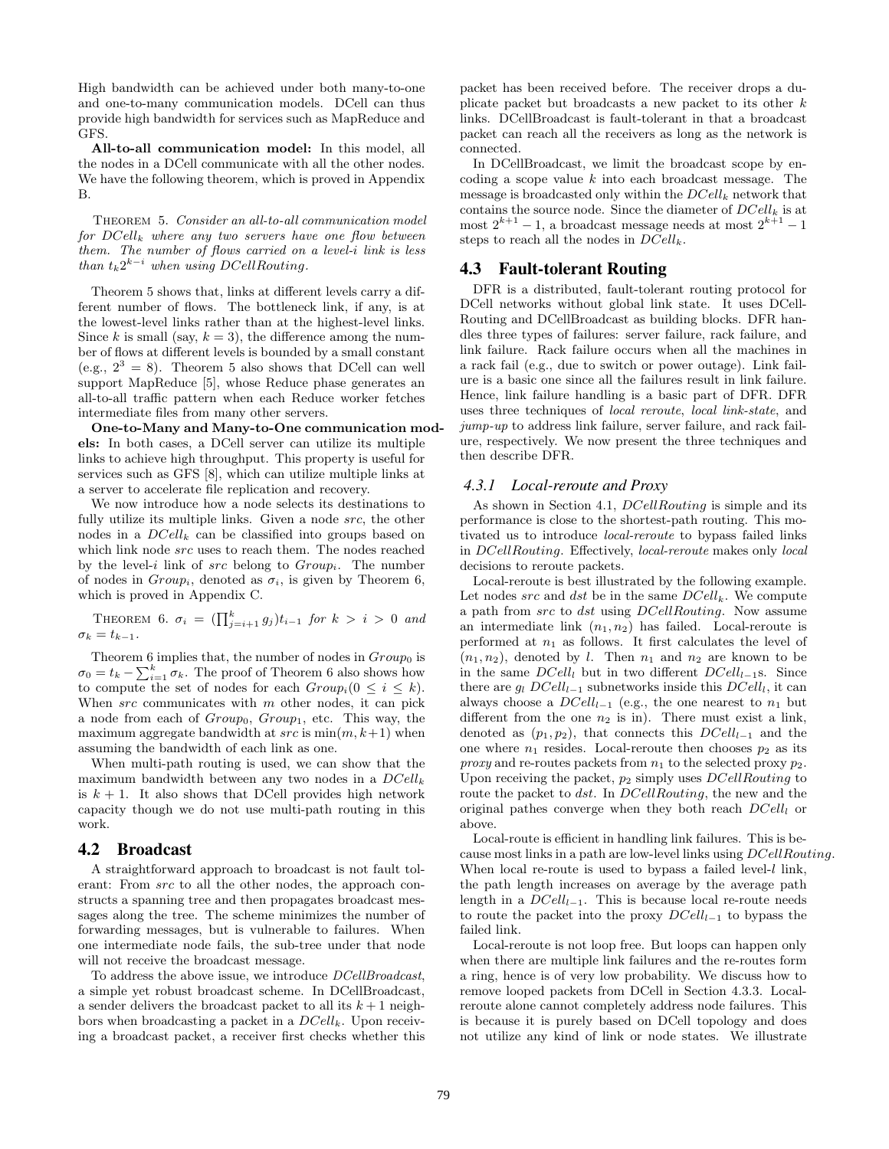High bandwidth can be achieved under both many-to-one and one-to-many communication models. DCell can thus provide high bandwidth for services such as MapReduce and GFS.

All-to-all communication model: In this model, all the nodes in a DCell communicate with all the other nodes. We have the following theorem, which is proved in Appendix B.

Theorem 5. Consider an all-to-all communication model for  $DCell_k$  where any two servers have one flow between them. The number of flows carried on a level-i link is less than  $t_k 2^{k-i}$  when using DCellRouting.

Theorem 5 shows that, links at different levels carry a different number of flows. The bottleneck link, if any, is at the lowest-level links rather than at the highest-level links. Since k is small (say,  $k = 3$ ), the difference among the number of flows at different levels is bounded by a small constant (e.g.,  $2^3 = 8$ ). Theorem 5 also shows that DCell can well support MapReduce [5], whose Reduce phase generates an all-to-all traffic pattern when each Reduce worker fetches intermediate files from many other servers.

One-to-Many and Many-to-One communication models: In both cases, a DCell server can utilize its multiple links to achieve high throughput. This property is useful for services such as GFS [8], which can utilize multiple links at a server to accelerate file replication and recovery.

We now introduce how a node selects its destinations to fully utilize its multiple links. Given a node src, the other nodes in a  $DCell_k$  can be classified into groups based on which link node src uses to reach them. The nodes reached by the level-i link of  $src$  belong to  $Group_i$ . The number of nodes in  $Group_i$ , denoted as  $\sigma_i$ , is given by Theorem 6, which is proved in Appendix C.

THEOREM 6.  $\sigma_i = (\prod_{j=i+1}^k g_j) t_{i-1}$  for  $k > i > 0$  and  $\sigma_k = t_{k-1}.$ 

Theorem 6 implies that, the number of nodes in  $Group_0$  is Theorem 6 implies that, the number of hodes in  $Group_0$  is<br> $\sigma_0 = t_k - \sum_{i=1}^k \sigma_k$ . The proof of Theorem 6 also shows how to compute the set of nodes for each  $Group_i(0 \leq i \leq k)$ . When  $src$  communicates with  $m$  other nodes, it can pick a node from each of  $Group_0$ ,  $Group_1$ , etc. This way, the maximum aggregate bandwidth at  $src$  is  $min(m, k+1)$  when assuming the bandwidth of each link as one.

When multi-path routing is used, we can show that the maximum bandwidth between any two nodes in a  $DCell_k$ is  $k + 1$ . It also shows that DCell provides high network capacity though we do not use multi-path routing in this work.

#### 4.2 Broadcast

A straightforward approach to broadcast is not fault tolerant: From src to all the other nodes, the approach constructs a spanning tree and then propagates broadcast messages along the tree. The scheme minimizes the number of forwarding messages, but is vulnerable to failures. When one intermediate node fails, the sub-tree under that node will not receive the broadcast message.

To address the above issue, we introduce DCellBroadcast, a simple yet robust broadcast scheme. In DCellBroadcast, a sender delivers the broadcast packet to all its  $k + 1$  neighbors when broadcasting a packet in a  $DCell_k$ . Upon receiving a broadcast packet, a receiver first checks whether this packet has been received before. The receiver drops a duplicate packet but broadcasts a new packet to its other k links. DCellBroadcast is fault-tolerant in that a broadcast packet can reach all the receivers as long as the network is connected.

In DCellBroadcast, we limit the broadcast scope by encoding a scope value  $k$  into each broadcast message. The message is broadcasted only within the  $DCell_k$  network that contains the source node. Since the diameter of  $DCell_k$  is at most  $2^{k+1} - 1$ , a broadcast message needs at most  $2^{k+1} - 1$ steps to reach all the nodes in  $DCell_k$ .

#### 4.3 Fault-tolerant Routing

DFR is a distributed, fault-tolerant routing protocol for DCell networks without global link state. It uses DCell-Routing and DCellBroadcast as building blocks. DFR handles three types of failures: server failure, rack failure, and link failure. Rack failure occurs when all the machines in a rack fail (e.g., due to switch or power outage). Link failure is a basic one since all the failures result in link failure. Hence, link failure handling is a basic part of DFR. DFR uses three techniques of local reroute, local link-state, and jump-up to address link failure, server failure, and rack failure, respectively. We now present the three techniques and then describe DFR.

#### *4.3.1 Local-reroute and Proxy*

As shown in Section 4.1, *DCellRouting* is simple and its performance is close to the shortest-path routing. This motivated us to introduce local-reroute to bypass failed links in DCellRouting. Effectively, local-reroute makes only local decisions to reroute packets.

Local-reroute is best illustrated by the following example. Let nodes src and dst be in the same  $DCell_k$ . We compute a path from src to dst using DCellRouting. Now assume an intermediate link  $(n_1, n_2)$  has failed. Local-reroute is performed at  $n_1$  as follows. It first calculates the level of  $(n_1, n_2)$ , denoted by l. Then  $n_1$  and  $n_2$  are known to be in the same  $DCell_l$  but in two different  $DCell_{l-1}s$ . Since there are  $g_l DCell_{l-1}$  subnetworks inside this  $DCell_l$ , it can always choose a  $DCell_{l-1}$  (e.g., the one nearest to  $n_1$  but different from the one  $n_2$  is in). There must exist a link, denoted as  $(p_1, p_2)$ , that connects this  $DCell_{l-1}$  and the one where  $n_1$  resides. Local-reroute then chooses  $p_2$  as its *proxy* and re-routes packets from  $n_1$  to the selected proxy  $p_2$ . Upon receiving the packet,  $p_2$  simply uses  $DCell Routing$  to route the packet to dst. In DCellRouting, the new and the original pathes converge when they both reach  $DCell<sub>l</sub>$  or above.

Local-route is efficient in handling link failures. This is because most links in a path are low-level links using DCellRouting. When local re-route is used to bypass a failed level-*l* link, the path length increases on average by the average path length in a  $DCell_{l-1}$ . This is because local re-route needs to route the packet into the proxy  $DCell_{l-1}$  to bypass the failed link.

Local-reroute is not loop free. But loops can happen only when there are multiple link failures and the re-routes form a ring, hence is of very low probability. We discuss how to remove looped packets from DCell in Section 4.3.3. Localreroute alone cannot completely address node failures. This is because it is purely based on DCell topology and does not utilize any kind of link or node states. We illustrate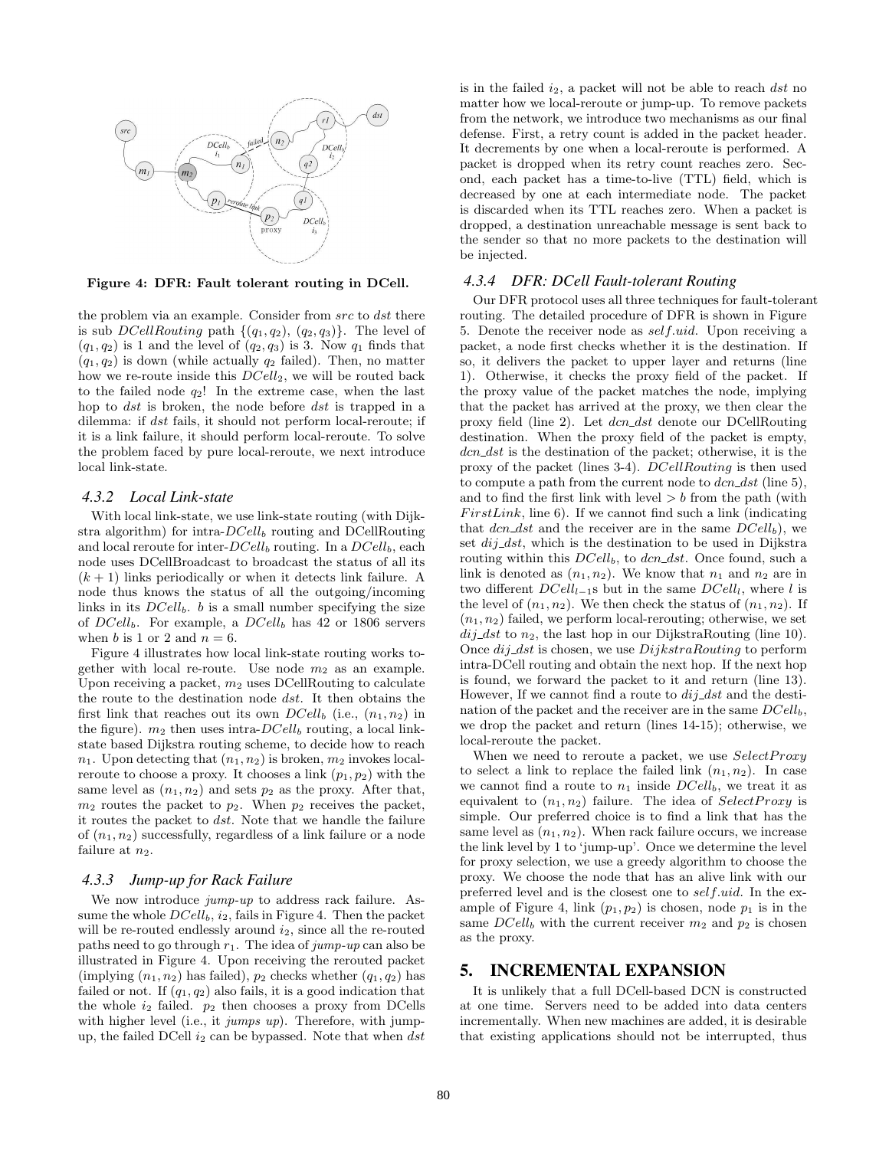

Figure 4: DFR: Fault tolerant routing in DCell.

the problem via an example. Consider from  $src$  to  $dst$  there is sub *DCellRouting* path  $\{(q_1, q_2), (q_2, q_3)\}$ . The level of  $(q_1, q_2)$  is 1 and the level of  $(q_2, q_3)$  is 3. Now  $q_1$  finds that  $(q_1, q_2)$  is down (while actually  $q_2$  failed). Then, no matter how we re-route inside this  $DCell_2$ , we will be routed back to the failed node  $q_2!$ ! In the extreme case, when the last hop to dst is broken, the node before dst is trapped in a dilemma: if dst fails, it should not perform local-reroute; if it is a link failure, it should perform local-reroute. To solve the problem faced by pure local-reroute, we next introduce local link-state.

#### *4.3.2 Local Link-state*

With local link-state, we use link-state routing (with Dijkstra algorithm) for intra- $DCell_b$  routing and DCellRouting and local reroute for inter- $DCell_b$  routing. In a  $DCell_b$ , each node uses DCellBroadcast to broadcast the status of all its  $(k+1)$  links periodically or when it detects link failure. A node thus knows the status of all the outgoing/incoming links in its  $DCell_b$ . b is a small number specifying the size of  $DCell_b$ . For example, a  $DCell_b$  has 42 or 1806 servers when b is 1 or 2 and  $n = 6$ .

Figure 4 illustrates how local link-state routing works together with local re-route. Use node  $m_2$  as an example. Upon receiving a packet,  $m_2$  uses DCellRouting to calculate the route to the destination node dst. It then obtains the first link that reaches out its own  $DCell_b$  (i.e.,  $(n_1, n_2)$ ) in the figure).  $m_2$  then uses intra- $DCell_b$  routing, a local linkstate based Dijkstra routing scheme, to decide how to reach  $n_1$ . Upon detecting that  $(n_1, n_2)$  is broken,  $m_2$  invokes localreroute to choose a proxy. It chooses a link  $(p_1, p_2)$  with the same level as  $(n_1, n_2)$  and sets  $p_2$  as the proxy. After that,  $m_2$  routes the packet to  $p_2$ . When  $p_2$  receives the packet, it routes the packet to dst. Note that we handle the failure of  $(n_1, n_2)$  successfully, regardless of a link failure or a node failure at  $n_2$ .

#### *4.3.3 Jump-up for Rack Failure*

We now introduce *jump-up* to address rack failure. Assume the whole  $DCell_b$ ,  $i_2$ , fails in Figure 4. Then the packet will be re-routed endlessly around  $i_2$ , since all the re-routed paths need to go through  $r_1$ . The idea of jump-up can also be illustrated in Figure 4. Upon receiving the rerouted packet (implying  $(n_1, n_2)$  has failed),  $p_2$  checks whether  $(q_1, q_2)$  has failed or not. If  $(q_1, q_2)$  also fails, it is a good indication that the whole  $i_2$  failed.  $p_2$  then chooses a proxy from DCells with higher level (i.e., it *jumps up*). Therefore, with jumpup, the failed DCell  $i_2$  can be bypassed. Note that when  $dst$  is in the failed  $i_2$ , a packet will not be able to reach dst no matter how we local-reroute or jump-up. To remove packets from the network, we introduce two mechanisms as our final defense. First, a retry count is added in the packet header. It decrements by one when a local-reroute is performed. A packet is dropped when its retry count reaches zero. Second, each packet has a time-to-live (TTL) field, which is decreased by one at each intermediate node. The packet is discarded when its TTL reaches zero. When a packet is dropped, a destination unreachable message is sent back to the sender so that no more packets to the destination will be injected.

#### *4.3.4 DFR: DCell Fault-tolerant Routing*

Our DFR protocol uses all three techniques for fault-tolerant routing. The detailed procedure of DFR is shown in Figure 5. Denote the receiver node as self.uid. Upon receiving a packet, a node first checks whether it is the destination. If so, it delivers the packet to upper layer and returns (line 1). Otherwise, it checks the proxy field of the packet. If the proxy value of the packet matches the node, implying that the packet has arrived at the proxy, we then clear the proxy field (line 2). Let  $dcn\_dst$  denote our DCellRouting destination. When the proxy field of the packet is empty,  $dcn\_dst$  is the destination of the packet; otherwise, it is the proxy of the packet (lines 3-4). DCellRouting is then used to compute a path from the current node to  $dcn\_dst$  (line 5). and to find the first link with level  $>b$  from the path (with  $FirstLink$ , line 6). If we cannot find such a link (indicating that  $dcn\_dst$  and the receiver are in the same  $DCell_b$ , we set  $dij\_dst$ , which is the destination to be used in Dijkstra routing within this  $DCell_b$ , to  $dcn\_dst$ . Once found, such a link is denoted as  $(n_1, n_2)$ . We know that  $n_1$  and  $n_2$  are in two different  $DCell_{l-1}$ s but in the same  $DCell_l$ , where l is the level of  $(n_1, n_2)$ . We then check the status of  $(n_1, n_2)$ . If  $(n_1, n_2)$  failed, we perform local-rerouting; otherwise, we set  $dij\_dst$  to  $n_2$ , the last hop in our DijkstraRouting (line 10). Once  $di\hat{j}$  dst is chosen, we use  $DijkstraRouting$  to perform intra-DCell routing and obtain the next hop. If the next hop is found, we forward the packet to it and return (line 13). However, If we cannot find a route to  $dij\_dst$  and the destination of the packet and the receiver are in the same  $DCell_b$ , we drop the packet and return (lines 14-15); otherwise, we local-reroute the packet.

When we need to reroute a packet, we use  $SelectProxy$ to select a link to replace the failed link  $(n_1, n_2)$ . In case we cannot find a route to  $n_1$  inside  $DCell_b$ , we treat it as equivalent to  $(n_1, n_2)$  failure. The idea of SelectProxy is simple. Our preferred choice is to find a link that has the same level as  $(n_1, n_2)$ . When rack failure occurs, we increase the link level by 1 to 'jump-up'. Once we determine the level for proxy selection, we use a greedy algorithm to choose the proxy. We choose the node that has an alive link with our preferred level and is the closest one to self.uid. In the example of Figure 4, link  $(p_1, p_2)$  is chosen, node  $p_1$  is in the same  $DCell_b$  with the current receiver  $m_2$  and  $p_2$  is chosen as the proxy.

## 5. INCREMENTAL EXPANSION

It is unlikely that a full DCell-based DCN is constructed at one time. Servers need to be added into data centers incrementally. When new machines are added, it is desirable that existing applications should not be interrupted, thus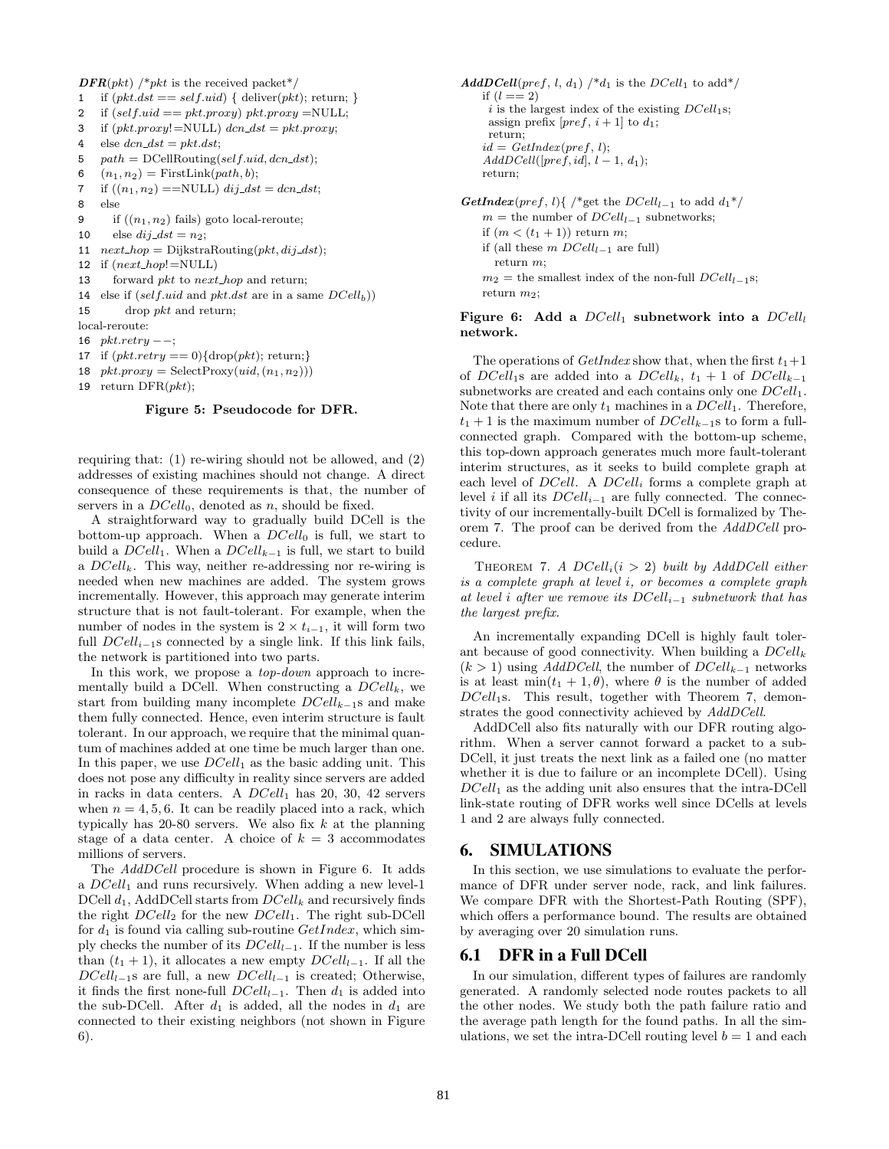$\text{DFR}(pkt)$  /\*pkt is the received packet\*/

- 1 if  $(\text{plt.dat} == \text{self}.\text{uid})$  { deliver( $\text{plt}$ ); return; }
- 2 if  $(self.uid == pkt.proxy) pkt.proxy = NULL;$
- 3 if  $(\text{pkt}.\text{prox} y!=\text{NULL}) \text{ } dcn\_dst = \text{pkt}.\text{prox} y;$
- 4 else  $dcn\_dst = pkt.dat;$
- 5  $path = DCellRouting(self.id, dcn\_dst);$
- 6  $(n_1, n_2)$  = FirstLink(path, b);
- 7 if  $((n_1, n_2) = NULL)$  dij\_dst = dcn\_dst;
- 8 else
- 9 if  $((n_1, n_2)$  fails) goto local-reroute;
- 10 else  $dij\_dst = n_2;$
- 11  $next\_hop = DijkstraRouting(\rho kt, dij\_dst);$
- 12 if  $(next\_hop! = NULL)$
- 13 forward *pkt* to *next\_hop* and return;
- 14 else if  $(self.uid and pkt.dst are in a same DCell_b)$
- 15 drop  $pkt$  and return;
- local-reroute:
- 16  $pkt.retry -$ ;
- 17 if  $(\text{ptt.}retry == 0)$ {drop( $\text{ptt}$ ); return;}
- 18  $pt.prox = SelectProxy(iid, (n_1, n_2))$

```
19 return \text{DFR}(pkt);
```
#### Figure 5: Pseudocode for DFR.

requiring that: (1) re-wiring should not be allowed, and (2) addresses of existing machines should not change. A direct consequence of these requirements is that, the number of servers in a  $DCell_0$ , denoted as n, should be fixed.

A straightforward way to gradually build DCell is the bottom-up approach. When a  $DCell_0$  is full, we start to build a  $DCell_1$ . When a  $DCell_{k-1}$  is full, we start to build a  $DCell_k$ . This way, neither re-addressing nor re-wiring is needed when new machines are added. The system grows incrementally. However, this approach may generate interim structure that is not fault-tolerant. For example, when the number of nodes in the system is  $2 \times t_{i-1}$ , it will form two full  $DCell_{i-1}$ s connected by a single link. If this link fails, the network is partitioned into two parts.

In this work, we propose a *top-down* approach to incrementally build a DCell. When constructing a  $DCell_k$ , we start from building many incomplete  $DCell_{k-1}$ s and make them fully connected. Hence, even interim structure is fault tolerant. In our approach, we require that the minimal quantum of machines added at one time be much larger than one. In this paper, we use  $DCell_1$  as the basic adding unit. This does not pose any difficulty in reality since servers are added in racks in data centers. A  $DCell_1$  has 20, 30, 42 servers when  $n = 4, 5, 6$ . It can be readily placed into a rack, which typically has  $20-80$  servers. We also fix k at the planning stage of a data center. A choice of  $k = 3$  accommodates millions of servers.

The AddDCell procedure is shown in Figure 6. It adds a  $DCell_1$  and runs recursively. When adding a new level-1 DCell  $d_1$ , AddDCell starts from  $DCell_k$  and recursively finds the right  $DCell_2$  for the new  $DCell_1$ . The right sub-DCell for  $d_1$  is found via calling sub-routine  $GetIndex$ , which simply checks the number of its  $DCell_{l-1}$ . If the number is less than  $(t_1 + 1)$ , it allocates a new empty  $DCell_{l-1}$ . If all the  $DCell_{l-1}$ s are full, a new  $DCell_{l-1}$  is created; Otherwise, it finds the first none-full  $DCell_{l-1}$ . Then  $d_1$  is added into the sub-DCell. After  $d_1$  is added, all the nodes in  $d_1$  are connected to their existing neighbors (not shown in Figure 6).

 $AddDCell(pred, l, d_1)$  /\* $d_1$  is the  $DCell_1$  to add\*/ if  $(l == 2)$  $i$  is the largest index of the existing  $DCell<sub>1</sub>$ s; assign prefix  $[pref, i+1]$  to  $d_1$ ; return;  $id = GetIndex(pred, l);$  $AddDCell([pref,id], l-1, d_1);$ return;

GetIndex(pref, l){ /\*get the  $DCell_{l-1}$  to add  $d_1^*/$  $m =$  the number of  $DCell_{l-1}$  subnetworks; if  $(m < (t_1 + 1))$  return m; if (all these  $m \text{ DCell}_{l-1}$  are full) return m;  $m_2$  = the smallest index of the non-full  $DCell_{l-1}$ s; return  $m_2$ :

Figure 6: Add a  $DCell_1$  subnetwork into a  $DCell_1$ network.

The operations of GetIndex show that, when the first  $t_1+1$ of DCell<sub>1</sub>s are added into a DCell<sub>k</sub>,  $t_1 + 1$  of DCell<sub>k-1</sub> subnetworks are created and each contains only one  $DCell_1$ . Note that there are only  $t_1$  machines in a  $DCell_1$ . Therefore,  $t_1 + 1$  is the maximum number of  $DCell_{k-1}$ s to form a fullconnected graph. Compared with the bottom-up scheme, this top-down approach generates much more fault-tolerant interim structures, as it seeks to build complete graph at each level of DCell. A DCell<sub>i</sub> forms a complete graph at level *i* if all its  $DCell_{i-1}$  are fully connected. The connectivity of our incrementally-built DCell is formalized by Theorem 7. The proof can be derived from the AddDCell procedure.

THEOREM 7. A  $DCell_i(i > 2)$  built by AddDCell either is a complete graph at level i, or becomes a complete graph at level i after we remove its  $DCell_{i-1}$  subnetwork that has the largest prefix.

An incrementally expanding DCell is highly fault tolerant because of good connectivity. When building a  $DCell_k$  $(k > 1)$  using AddDCell, the number of DCell<sub>k-1</sub> networks is at least  $\min(t_1 + 1, \theta)$ , where  $\theta$  is the number of added  $DCell<sub>1</sub>$ s. This result, together with Theorem 7, demonstrates the good connectivity achieved by AddDCell.

AddDCell also fits naturally with our DFR routing algorithm. When a server cannot forward a packet to a sub-DCell, it just treats the next link as a failed one (no matter whether it is due to failure or an incomplete DCell). Using  $DCell<sub>1</sub>$  as the adding unit also ensures that the intra-DCell link-state routing of DFR works well since DCells at levels 1 and 2 are always fully connected.

## 6. SIMULATIONS

In this section, we use simulations to evaluate the performance of DFR under server node, rack, and link failures. We compare DFR with the Shortest-Path Routing (SPF), which offers a performance bound. The results are obtained by averaging over 20 simulation runs.

## 6.1 DFR in a Full DCell

In our simulation, different types of failures are randomly generated. A randomly selected node routes packets to all the other nodes. We study both the path failure ratio and the average path length for the found paths. In all the simulations, we set the intra-DCell routing level  $b = 1$  and each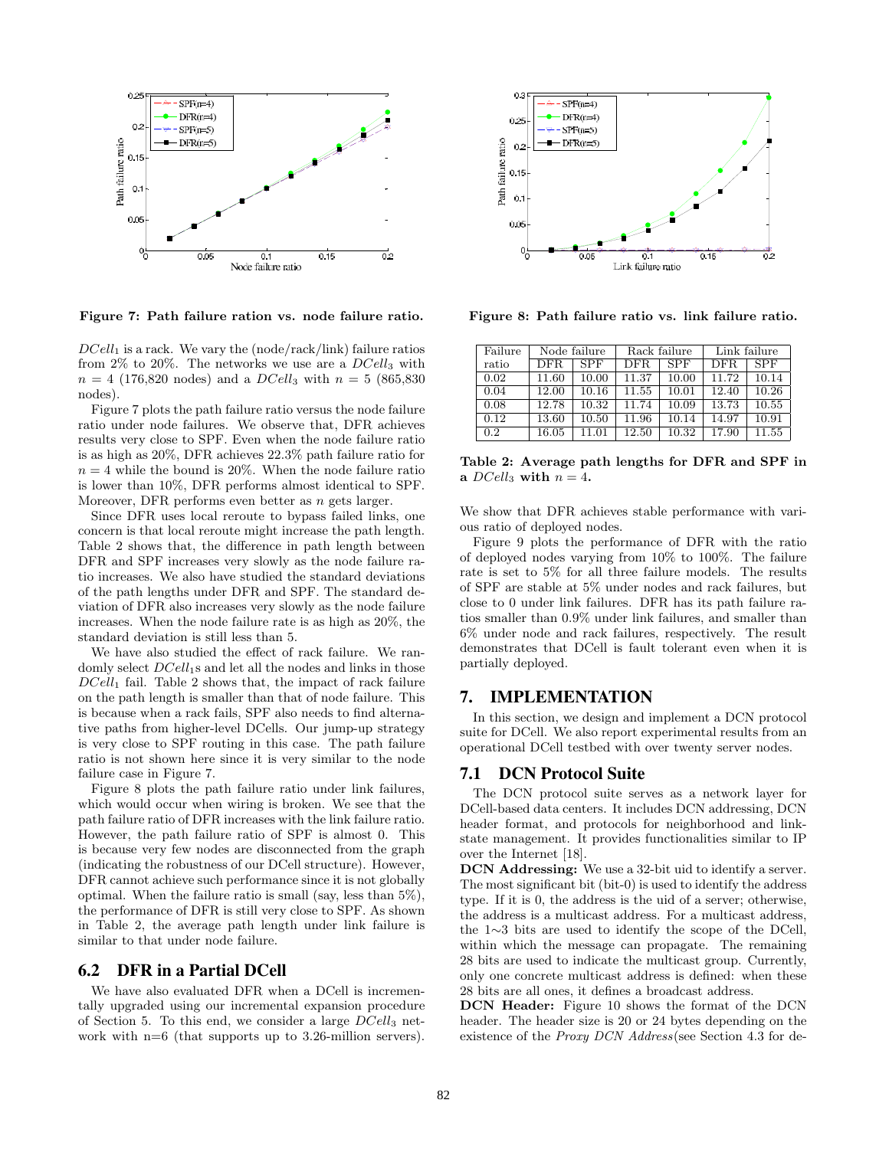

Figure 7: Path failure ration vs. node failure ratio.

 $DCell<sub>1</sub>$  is a rack. We vary the (node/rack/link) failure ratios from 2% to 20%. The networks we use are a  $DCell_3$  with  $n = 4$  (176,820 nodes) and a DCell<sub>3</sub> with  $n = 5$  (865,830) nodes).

Figure 7 plots the path failure ratio versus the node failure ratio under node failures. We observe that, DFR achieves results very close to SPF. Even when the node failure ratio is as high as 20%, DFR achieves 22.3% path failure ratio for  $n = 4$  while the bound is 20%. When the node failure ratio is lower than 10%, DFR performs almost identical to SPF. Moreover, DFR performs even better as n gets larger.

Since DFR uses local reroute to bypass failed links, one concern is that local reroute might increase the path length. Table 2 shows that, the difference in path length between DFR and SPF increases very slowly as the node failure ratio increases. We also have studied the standard deviations of the path lengths under DFR and SPF. The standard deviation of DFR also increases very slowly as the node failure increases. When the node failure rate is as high as 20%, the standard deviation is still less than 5.

We have also studied the effect of rack failure. We randomly select  $DCell<sub>1</sub>$ s and let all the nodes and links in those  $DCell<sub>1</sub>$  fail. Table 2 shows that, the impact of rack failure on the path length is smaller than that of node failure. This is because when a rack fails, SPF also needs to find alternative paths from higher-level DCells. Our jump-up strategy is very close to SPF routing in this case. The path failure ratio is not shown here since it is very similar to the node failure case in Figure 7.

Figure 8 plots the path failure ratio under link failures, which would occur when wiring is broken. We see that the path failure ratio of DFR increases with the link failure ratio. However, the path failure ratio of SPF is almost 0. This is because very few nodes are disconnected from the graph (indicating the robustness of our DCell structure). However, DFR cannot achieve such performance since it is not globally optimal. When the failure ratio is small (say, less than 5%), the performance of DFR is still very close to SPF. As shown in Table 2, the average path length under link failure is similar to that under node failure.

## 6.2 DFR in a Partial DCell

We have also evaluated DFR when a DCell is incrementally upgraded using our incremental expansion procedure of Section 5. To this end, we consider a large  $DCell_3$  network with n=6 (that supports up to 3.26-million servers).



Figure 8: Path failure ratio vs. link failure ratio.

| Failure | Node failure |       | Rack failure |            | Link failure |       |
|---------|--------------|-------|--------------|------------|--------------|-------|
| ratio   | DFR.         | SPF   | DFR.         | <b>SPF</b> | DFR.         | SPF   |
| 0.02    | 11.60        | 10.00 | 11.37        | 10.00      | 11.72        | 10.14 |
| 0.04    | 12.00        | 10.16 | 11.55        | 10.01      | 12.40        | 10.26 |
| 0.08    | 12.78        | 10.32 | 11.74        | 10.09      | 13.73        | 10.55 |
| 0.12    | 13.60        | 10.50 | 11.96        | 10.14      | 14.97        | 10.91 |
| 0.2     | 16.05        | 11.01 | 12.50        | 10.32      | 17.90        | 11.55 |

Table 2: Average path lengths for DFR and SPF in a  $DCell_3$  with  $n = 4$ .

We show that DFR achieves stable performance with various ratio of deployed nodes.

Figure 9 plots the performance of DFR with the ratio of deployed nodes varying from 10% to 100%. The failure rate is set to 5% for all three failure models. The results of SPF are stable at 5% under nodes and rack failures, but close to 0 under link failures. DFR has its path failure ratios smaller than 0.9% under link failures, and smaller than 6% under node and rack failures, respectively. The result demonstrates that DCell is fault tolerant even when it is partially deployed.

## 7. IMPLEMENTATION

In this section, we design and implement a DCN protocol suite for DCell. We also report experimental results from an operational DCell testbed with over twenty server nodes.

## 7.1 DCN Protocol Suite

The DCN protocol suite serves as a network layer for DCell-based data centers. It includes DCN addressing, DCN header format, and protocols for neighborhood and linkstate management. It provides functionalities similar to IP over the Internet [18].

DCN Addressing: We use a 32-bit uid to identify a server. The most significant bit (bit-0) is used to identify the address type. If it is 0, the address is the uid of a server; otherwise, the address is a multicast address. For a multicast address, the 1∼3 bits are used to identify the scope of the DCell, within which the message can propagate. The remaining 28 bits are used to indicate the multicast group. Currently, only one concrete multicast address is defined: when these 28 bits are all ones, it defines a broadcast address.

DCN Header: Figure 10 shows the format of the DCN header. The header size is 20 or 24 bytes depending on the existence of the *Proxy DCN Address* (see Section 4.3 for de-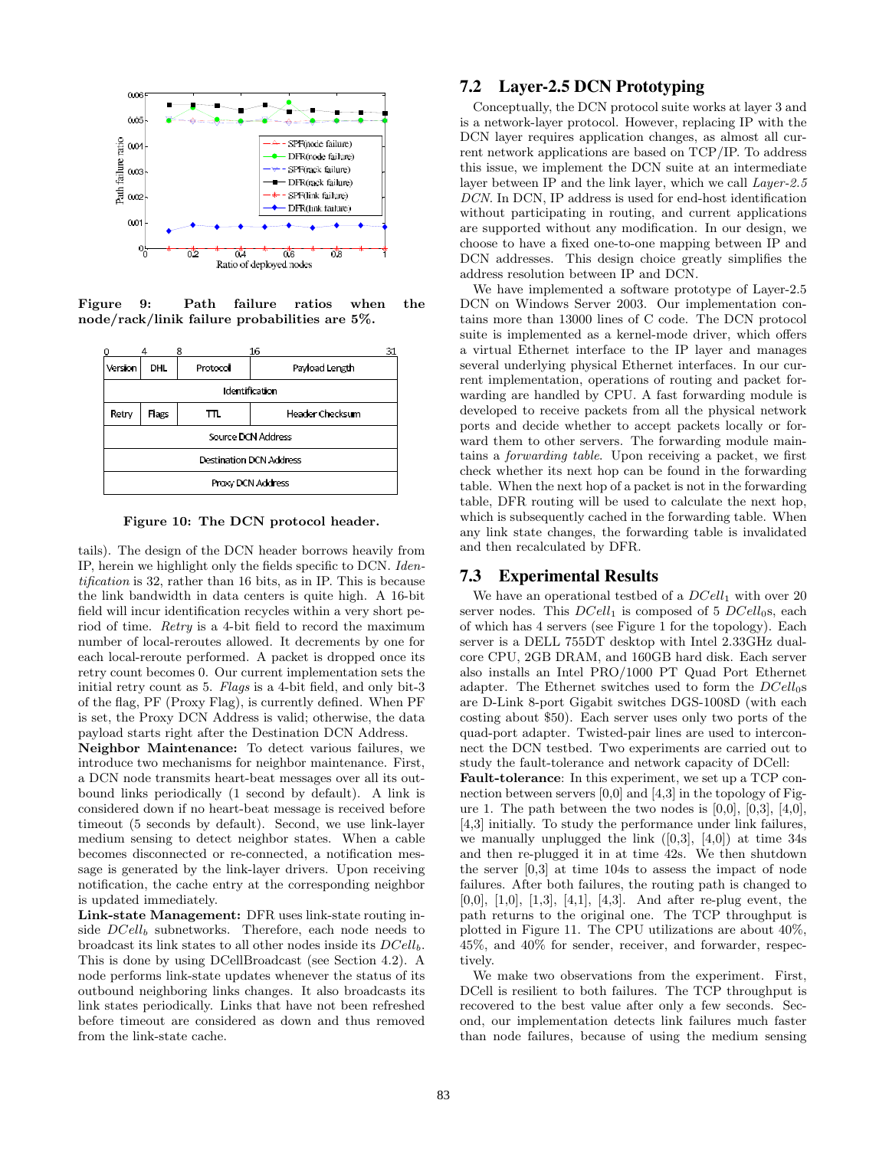

Figure 9: Path failure ratios when the node/rack/linik failure probabilities are 5%.

|                                | 16<br>8    |          |                 | 31 |  |  |
|--------------------------------|------------|----------|-----------------|----|--|--|
| Version                        | <b>DHL</b> | Protocol | Payload Length  |    |  |  |
| Identification                 |            |          |                 |    |  |  |
| Retry                          | Flags      | πL       | Header Checksum |    |  |  |
| Source DCN Address             |            |          |                 |    |  |  |
| <b>Destination DCN Address</b> |            |          |                 |    |  |  |
| Proxy DCN Address              |            |          |                 |    |  |  |

Figure 10: The DCN protocol header.

tails). The design of the DCN header borrows heavily from IP, herein we highlight only the fields specific to DCN. Identification is 32, rather than 16 bits, as in IP. This is because the link bandwidth in data centers is quite high. A 16-bit field will incur identification recycles within a very short period of time. Retry is a 4-bit field to record the maximum number of local-reroutes allowed. It decrements by one for each local-reroute performed. A packet is dropped once its retry count becomes 0. Our current implementation sets the initial retry count as 5. Flags is a 4-bit field, and only bit-3 of the flag, PF (Proxy Flag), is currently defined. When PF is set, the Proxy DCN Address is valid; otherwise, the data payload starts right after the Destination DCN Address.

Neighbor Maintenance: To detect various failures, we introduce two mechanisms for neighbor maintenance. First, a DCN node transmits heart-beat messages over all its outbound links periodically (1 second by default). A link is considered down if no heart-beat message is received before timeout (5 seconds by default). Second, we use link-layer medium sensing to detect neighbor states. When a cable becomes disconnected or re-connected, a notification message is generated by the link-layer drivers. Upon receiving notification, the cache entry at the corresponding neighbor is updated immediately.

Link-state Management: DFR uses link-state routing inside  $DCell_b$  subnetworks. Therefore, each node needs to broadcast its link states to all other nodes inside its  $DCell_b$ . This is done by using DCellBroadcast (see Section 4.2). A node performs link-state updates whenever the status of its outbound neighboring links changes. It also broadcasts its link states periodically. Links that have not been refreshed before timeout are considered as down and thus removed from the link-state cache.

## 7.2 Layer-2.5 DCN Prototyping

Conceptually, the DCN protocol suite works at layer 3 and is a network-layer protocol. However, replacing IP with the DCN layer requires application changes, as almost all current network applications are based on TCP/IP. To address this issue, we implement the DCN suite at an intermediate layer between IP and the link layer, which we call Layer-2.5 DCN. In DCN, IP address is used for end-host identification without participating in routing, and current applications are supported without any modification. In our design, we choose to have a fixed one-to-one mapping between IP and DCN addresses. This design choice greatly simplifies the address resolution between IP and DCN.

We have implemented a software prototype of Layer-2.5 DCN on Windows Server 2003. Our implementation contains more than 13000 lines of C code. The DCN protocol suite is implemented as a kernel-mode driver, which offers a virtual Ethernet interface to the IP layer and manages several underlying physical Ethernet interfaces. In our current implementation, operations of routing and packet forwarding are handled by CPU. A fast forwarding module is developed to receive packets from all the physical network ports and decide whether to accept packets locally or forward them to other servers. The forwarding module maintains a forwarding table. Upon receiving a packet, we first check whether its next hop can be found in the forwarding table. When the next hop of a packet is not in the forwarding table, DFR routing will be used to calculate the next hop, which is subsequently cached in the forwarding table. When any link state changes, the forwarding table is invalidated and then recalculated by DFR.

## 7.3 Experimental Results

We have an operational testbed of a  $DCell_1$  with over 20 server nodes. This  $DCell_1$  is composed of 5  $DCell_0$ s, each of which has 4 servers (see Figure 1 for the topology). Each server is a DELL 755DT desktop with Intel 2.33GHz dualcore CPU, 2GB DRAM, and 160GB hard disk. Each server also installs an Intel PRO/1000 PT Quad Port Ethernet adapter. The Ethernet switches used to form the  $DCell<sub>0</sub>$ s are D-Link 8-port Gigabit switches DGS-1008D (with each costing about \$50). Each server uses only two ports of the quad-port adapter. Twisted-pair lines are used to interconnect the DCN testbed. Two experiments are carried out to study the fault-tolerance and network capacity of DCell:

Fault-tolerance: In this experiment, we set up a TCP connection between servers [0,0] and [4,3] in the topology of Figure 1. The path between the two nodes is  $[0,0]$ ,  $[0,3]$ ,  $[4,0]$ , [4,3] initially. To study the performance under link failures, we manually unplugged the link  $([0,3], [4,0])$  at time 34s and then re-plugged it in at time 42s. We then shutdown the server [0,3] at time 104s to assess the impact of node failures. After both failures, the routing path is changed to [0,0], [1,0], [1,3], [4,1], [4,3]. And after re-plug event, the path returns to the original one. The TCP throughput is plotted in Figure 11. The CPU utilizations are about 40%, 45%, and 40% for sender, receiver, and forwarder, respectively.

We make two observations from the experiment. First, DCell is resilient to both failures. The TCP throughput is recovered to the best value after only a few seconds. Second, our implementation detects link failures much faster than node failures, because of using the medium sensing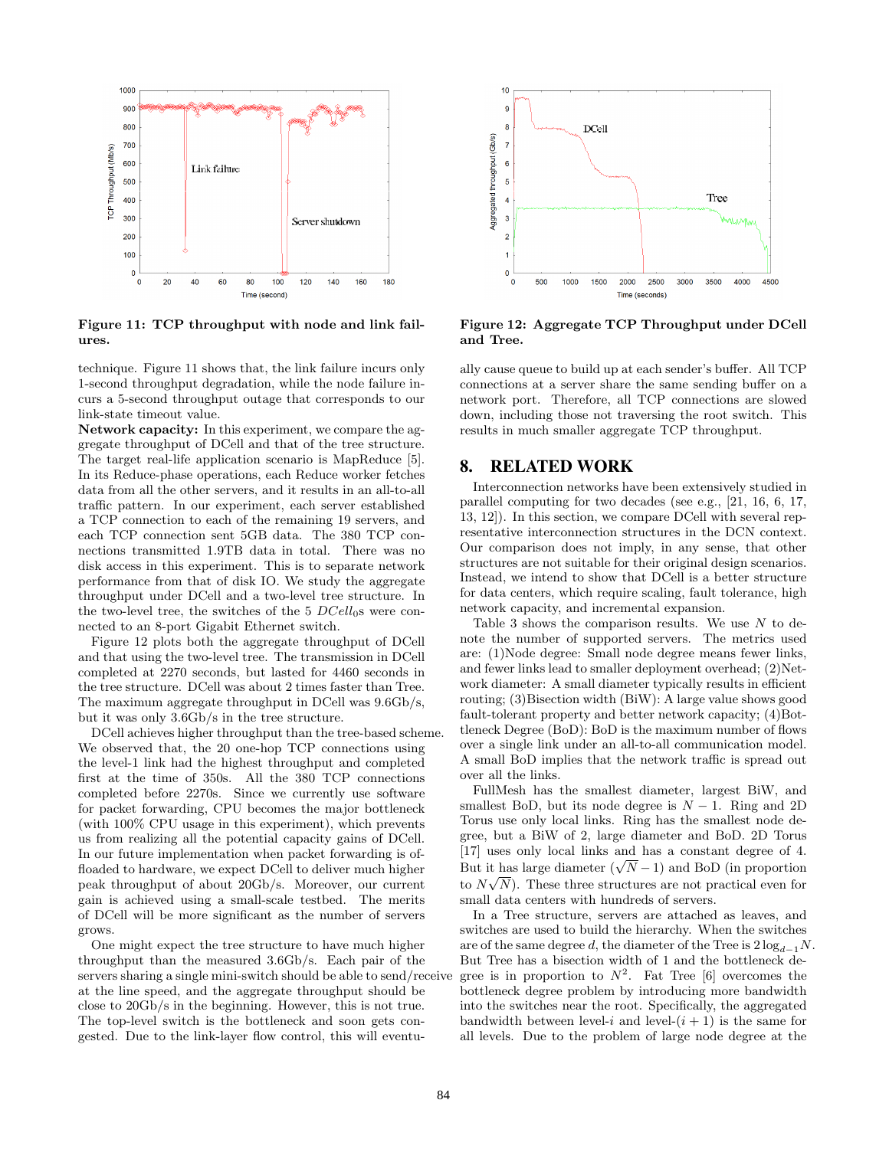

Figure 11: TCP throughput with node and link failures.

technique. Figure 11 shows that, the link failure incurs only 1-second throughput degradation, while the node failure incurs a 5-second throughput outage that corresponds to our link-state timeout value.

Network capacity: In this experiment, we compare the aggregate throughput of DCell and that of the tree structure. The target real-life application scenario is MapReduce [5]. In its Reduce-phase operations, each Reduce worker fetches data from all the other servers, and it results in an all-to-all traffic pattern. In our experiment, each server established a TCP connection to each of the remaining 19 servers, and each TCP connection sent 5GB data. The 380 TCP connections transmitted 1.9TB data in total. There was no disk access in this experiment. This is to separate network performance from that of disk IO. We study the aggregate throughput under DCell and a two-level tree structure. In the two-level tree, the switches of the  $5 \text{ } DCell_{0s}$  were connected to an 8-port Gigabit Ethernet switch.

Figure 12 plots both the aggregate throughput of DCell and that using the two-level tree. The transmission in DCell completed at 2270 seconds, but lasted for 4460 seconds in the tree structure. DCell was about 2 times faster than Tree. The maximum aggregate throughput in DCell was 9.6Gb/s, but it was only 3.6Gb/s in the tree structure.

DCell achieves higher throughput than the tree-based scheme. We observed that, the 20 one-hop TCP connections using the level-1 link had the highest throughput and completed first at the time of 350s. All the 380 TCP connections completed before 2270s. Since we currently use software for packet forwarding, CPU becomes the major bottleneck (with 100% CPU usage in this experiment), which prevents us from realizing all the potential capacity gains of DCell. In our future implementation when packet forwarding is offloaded to hardware, we expect DCell to deliver much higher peak throughput of about 20Gb/s. Moreover, our current gain is achieved using a small-scale testbed. The merits of DCell will be more significant as the number of servers grows.

One might expect the tree structure to have much higher throughput than the measured 3.6Gb/s. Each pair of the servers sharing a single mini-switch should be able to send/receive at the line speed, and the aggregate throughput should be close to 20Gb/s in the beginning. However, this is not true. The top-level switch is the bottleneck and soon gets congested. Due to the link-layer flow control, this will eventu-



Figure 12: Aggregate TCP Throughput under DCell and Tree.

ally cause queue to build up at each sender's buffer. All TCP connections at a server share the same sending buffer on a network port. Therefore, all TCP connections are slowed down, including those not traversing the root switch. This results in much smaller aggregate TCP throughput.

## 8. RELATED WORK

Interconnection networks have been extensively studied in parallel computing for two decades (see e.g., [21, 16, 6, 17, 13, 12]). In this section, we compare DCell with several representative interconnection structures in the DCN context. Our comparison does not imply, in any sense, that other structures are not suitable for their original design scenarios. Instead, we intend to show that DCell is a better structure for data centers, which require scaling, fault tolerance, high network capacity, and incremental expansion.

Table 3 shows the comparison results. We use  $N$  to denote the number of supported servers. The metrics used are: (1)Node degree: Small node degree means fewer links, and fewer links lead to smaller deployment overhead; (2)Network diameter: A small diameter typically results in efficient routing; (3)Bisection width (BiW): A large value shows good fault-tolerant property and better network capacity; (4)Bottleneck Degree (BoD): BoD is the maximum number of flows over a single link under an all-to-all communication model. A small BoD implies that the network traffic is spread out over all the links.

FullMesh has the smallest diameter, largest BiW, and smallest BoD, but its node degree is  $N - 1$ . Ring and 2D Torus use only local links. Ring has the smallest node degree, but a BiW of 2, large diameter and BoD. 2D Torus [17] uses only local links and has a constant degree of 4. [17] uses only local links and has a constant degree of 4.<br>But it has large diameter  $(\sqrt{N} - 1)$  and BoD (in proportion to  $N\sqrt{N}$ . These three structures are not practical even for small data centers with hundreds of servers.

In a Tree structure, servers are attached as leaves, and switches are used to build the hierarchy. When the switches are of the same degree d, the diameter of the Tree is  $2 \log_{d-1} N$ . But Tree has a bisection width of 1 and the bottleneck degree is in proportion to  $N^2$ . Fat Tree [6] overcomes the bottleneck degree problem by introducing more bandwidth into the switches near the root. Specifically, the aggregated bandwidth between level-i and level- $(i + 1)$  is the same for all levels. Due to the problem of large node degree at the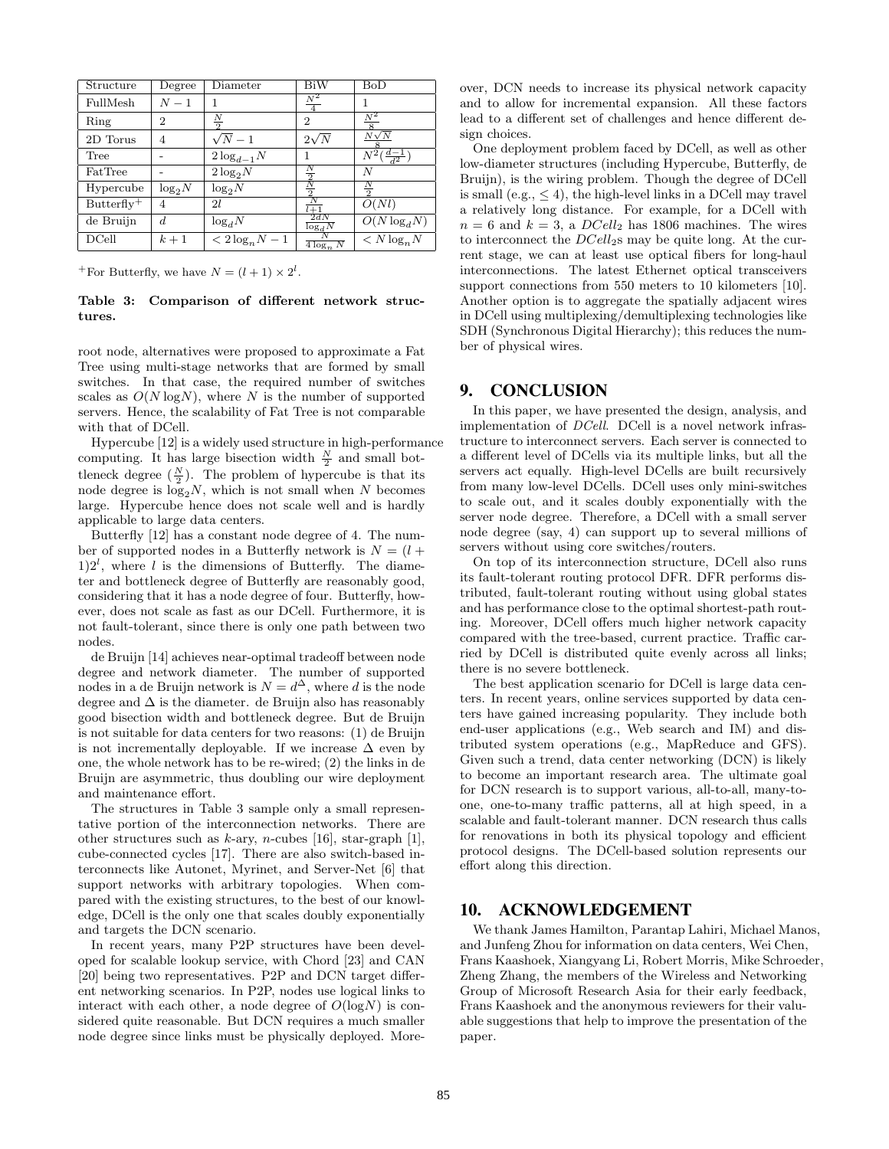| Structure    | Degree         | Diameter                         | BiW               | $_{\rm BoD}$                      |
|--------------|----------------|----------------------------------|-------------------|-----------------------------------|
| FullMesh     | $N-1$          |                                  | $N^2$             |                                   |
| Ring         | $\overline{2}$ | $\frac{N}{2}$                    | 2                 | $N^2$                             |
| 2D Torus     | 4              | $\sqrt{N-1}$                     | $2\sqrt{N}$       | $N\sqrt{N}$                       |
| Tree         |                | $2\log_{d-1}N$                   |                   | $\overline{N^2(\frac{d-1}{d^2})}$ |
| FatTree      |                | $2\log_2 N$                      |                   | N                                 |
| Hypercube    | $\log_2 N$     | $log_2 N$                        |                   |                                   |
| $Butterfly+$ | 4              | 21                               | $l+1$             | O(Nl)                             |
| de Bruijn    | $\overline{d}$ | $log_d N$                        | 2dN<br>$\log_d N$ | $O(N \log_d N)$                   |
| DCell        | $k+1$          | $\langle 2 \log_n N - 1 \rangle$ | $4\log_n N$       | $\langle N \log_n N$              |

<sup>+</sup>For Butterfly, we have  $N = (l + 1) \times 2^l$ .

#### Table 3: Comparison of different network structures.

root node, alternatives were proposed to approximate a Fat Tree using multi-stage networks that are formed by small switches. In that case, the required number of switches scales as  $O(N \log N)$ , where N is the number of supported servers. Hence, the scalability of Fat Tree is not comparable with that of DCell.

Hypercube [12] is a widely used structure in high-performance computing. It has large bisection width  $\frac{N}{2}$  and small bottleneck degree  $(\frac{N}{2})$ . The problem of hypercube is that its node degree is  $\log_2 N$ , which is not small when N becomes large. Hypercube hence does not scale well and is hardly applicable to large data centers.

Butterfly [12] has a constant node degree of 4. The number of supported nodes in a Butterfly network is  $N = (l +$  $1)2<sup>l</sup>$ , where l is the dimensions of Butterfly. The diameter and bottleneck degree of Butterfly are reasonably good, considering that it has a node degree of four. Butterfly, however, does not scale as fast as our DCell. Furthermore, it is not fault-tolerant, since there is only one path between two nodes.

de Bruijn [14] achieves near-optimal tradeoff between node degree and network diameter. The number of supported nodes in a de Bruijn network is  $N = d^{\Delta}$ , where d is the node degree and  $\Delta$  is the diameter. de Bruijn also has reasonably good bisection width and bottleneck degree. But de Bruijn is not suitable for data centers for two reasons: (1) de Bruijn is not incrementally deployable. If we increase  $\Delta$  even by one, the whole network has to be re-wired; (2) the links in de Bruijn are asymmetric, thus doubling our wire deployment and maintenance effort.

The structures in Table 3 sample only a small representative portion of the interconnection networks. There are other structures such as  $k$ -ary, *n*-cubes [16], star-graph [1], cube-connected cycles [17]. There are also switch-based interconnects like Autonet, Myrinet, and Server-Net [6] that support networks with arbitrary topologies. When compared with the existing structures, to the best of our knowledge, DCell is the only one that scales doubly exponentially and targets the DCN scenario.

In recent years, many P2P structures have been developed for scalable lookup service, with Chord [23] and CAN [20] being two representatives. P2P and DCN target different networking scenarios. In P2P, nodes use logical links to interact with each other, a node degree of  $O(logN)$  is considered quite reasonable. But DCN requires a much smaller node degree since links must be physically deployed. Moreover, DCN needs to increase its physical network capacity and to allow for incremental expansion. All these factors lead to a different set of challenges and hence different design choices.

One deployment problem faced by DCell, as well as other low-diameter structures (including Hypercube, Butterfly, de Bruijn), is the wiring problem. Though the degree of DCell is small (e.g.,  $\leq 4$ ), the high-level links in a DCell may travel a relatively long distance. For example, for a DCell with  $n = 6$  and  $k = 3$ , a  $DCell_2$  has 1806 machines. The wires to interconnect the  $DCell<sub>2</sub>$ s may be quite long. At the current stage, we can at least use optical fibers for long-haul interconnections. The latest Ethernet optical transceivers support connections from 550 meters to 10 kilometers [10]. Another option is to aggregate the spatially adjacent wires in DCell using multiplexing/demultiplexing technologies like SDH (Synchronous Digital Hierarchy); this reduces the number of physical wires.

## 9. CONCLUSION

In this paper, we have presented the design, analysis, and implementation of DCell. DCell is a novel network infrastructure to interconnect servers. Each server is connected to a different level of DCells via its multiple links, but all the servers act equally. High-level DCells are built recursively from many low-level DCells. DCell uses only mini-switches to scale out, and it scales doubly exponentially with the server node degree. Therefore, a DCell with a small server node degree (say, 4) can support up to several millions of servers without using core switches/routers.

On top of its interconnection structure, DCell also runs its fault-tolerant routing protocol DFR. DFR performs distributed, fault-tolerant routing without using global states and has performance close to the optimal shortest-path routing. Moreover, DCell offers much higher network capacity compared with the tree-based, current practice. Traffic carried by DCell is distributed quite evenly across all links; there is no severe bottleneck.

The best application scenario for DCell is large data centers. In recent years, online services supported by data centers have gained increasing popularity. They include both end-user applications (e.g., Web search and IM) and distributed system operations (e.g., MapReduce and GFS). Given such a trend, data center networking (DCN) is likely to become an important research area. The ultimate goal for DCN research is to support various, all-to-all, many-toone, one-to-many traffic patterns, all at high speed, in a scalable and fault-tolerant manner. DCN research thus calls for renovations in both its physical topology and efficient protocol designs. The DCell-based solution represents our effort along this direction.

## 10. ACKNOWLEDGEMENT

We thank James Hamilton, Parantap Lahiri, Michael Manos, and Junfeng Zhou for information on data centers, Wei Chen, Frans Kaashoek, Xiangyang Li, Robert Morris, Mike Schroeder, Zheng Zhang, the members of the Wireless and Networking Group of Microsoft Research Asia for their early feedback, Frans Kaashoek and the anonymous reviewers for their valuable suggestions that help to improve the presentation of the paper.